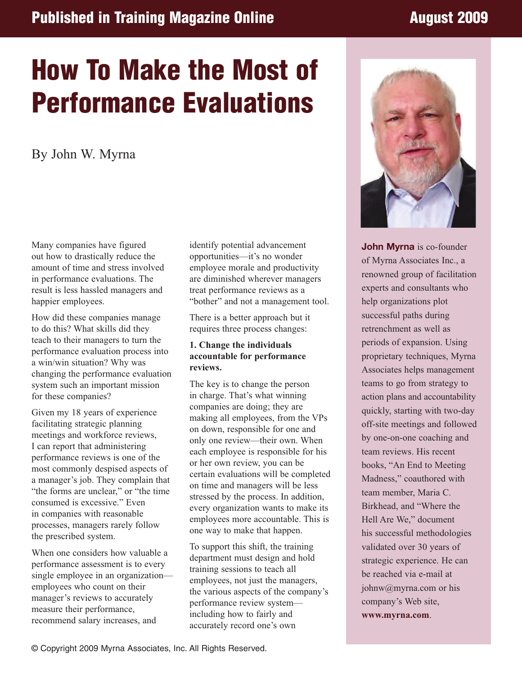## **Published in Training Magazine Online August 2009**

# **How To Make the Most of Performance Evaluations**

By John W. Myrna

Many companies have figured out how to drastically reduce the amount of time and stress involved in performance evaluations. The result is less hassled managers and happier employees.

How did these companies manage to do this? What skills did they teach to their managers to turn the performance evaluation process into a win/win situation? Why was changing the performance evaluation system such an important mission for these companies?

Given my 18 years of experience facilitating strategic planning meetings and workforce reviews, I can report that administering performance reviews is one of the most commonly despised aspects of a manager's job. They complain that "the forms are unclear," or "the time consumed is excessive." Even in companies with reasonable processes, managers rarely follow the prescribed system.

When one considers how valuable a performance assessment is to every single employee in an organization employees who count on their manager's reviews to accurately measure their performance, recommend salary increases, and

identify potential advancement opportunities—it's no wonder employee morale and productivity are diminished wherever managers treat performance reviews as a "bother" and not a management tool.

There is a better approach but it requires three process changes:

#### **1. Change the individuals accountable for performance reviews.**

The key is to change the person in charge. That's what winning companies are doing; they are making all employees, from the VPs on down, responsible for one and only one review—their own. When each employee is responsible for his or her own review, you can be certain evaluations will be completed on time and managers will be less stressed by the process. In addition, every organization wants to make its employees more accountable. This is one way to make that happen.

To support this shift, the training department must design and hold training sessions to teach all employees, not just the managers, the various aspects of the company's performance review system including how to fairly and accurately record one's own



**John Myrna** is co-founder of Myrna Associates Inc., a renowned group of facilitation experts and consultants who help organizations plot successful paths during retrenchment as well as periods of expansion. Using proprietary techniques, Myrna Associates helps management teams to go from strategy to action plans and accountability quickly, starting with two-day off-site meetings and followed by one-on-one coaching and team reviews. His recent books, "An End to Meeting Madness," coauthored with team member, Maria C. Birkhead, and "Where the Hell Are We," document his successful methodologies validated over 30 years of strategic experience. He can be reached via e-mail at johnw@myrna.com or his company's Web site, **www.myrna.com**.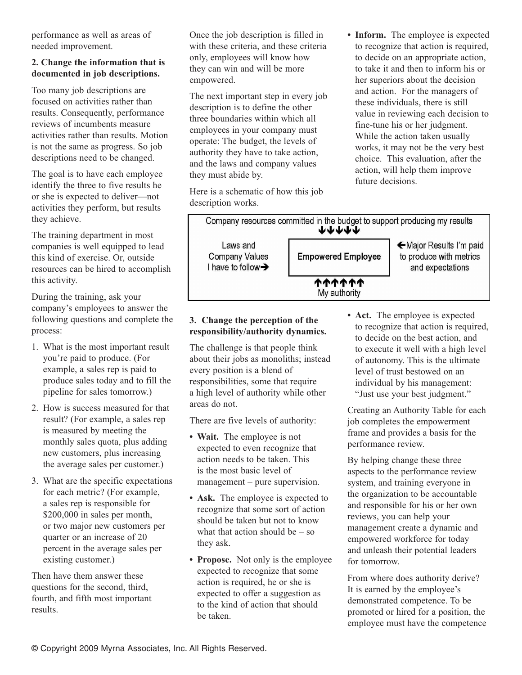performance as well as areas of needed improvement.

#### **2. Change the information that is documented in job descriptions.**

Too many job descriptions are focused on activities rather than results. Consequently, performance reviews of incumbents measure activities rather than results. Motion is not the same as progress. So job descriptions need to be changed.

The goal is to have each employee identify the three to five results he or she is expected to deliver—not activities they perform, but results they achieve.

The training department in most companies is well equipped to lead this kind of exercise. Or, outside resources can be hired to accomplish this activity.

During the training, ask your company's employees to answer the following questions and complete the process:

- 1. What is the most important result you're paid to produce. (For example, a sales rep is paid to produce sales today and to fill the pipeline for sales tomorrow.)
- 2. How is success measured for that result? (For example, a sales rep is measured by meeting the monthly sales quota, plus adding new customers, plus increasing the average sales per customer.)
- 3. What are the specific expectations for each metric? (For example, a sales rep is responsible for \$200,000 in sales per month, or two major new customers per quarter or an increase of 20 percent in the average sales per existing customer.)

Then have them answer these questions for the second, third, fourth, and fifth most important results.

Once the job description is filled in with these criteria, and these criteria only, employees will know how they can win and will be more empowered.

The next important step in every job description is to define the other three boundaries within which all employees in your company must operate: The budget, the levels of authority they have to take action, and the laws and company values they must abide by.

Here is a schematic of how this job description works.

**• Inform.** The employee is expected to recognize that action is required, to decide on an appropriate action, to take it and then to inform his or her superiors about the decision and action. For the managers of these individuals, there is still value in reviewing each decision to fine-tune his or her judgment. While the action taken usually works, it may not be the very best choice. This evaluation, after the action, will help them improve future decisions.



### **3. Change the perception of the responsibility/authority dynamics.**

The challenge is that people think about their jobs as monoliths; instead every position is a blend of responsibilities, some that require a high level of authority while other areas do not.

There are five levels of authority:

- **Wait.** The employee is not expected to even recognize that action needs to be taken. This is the most basic level of management – pure supervision.
- **• Ask.** The employee is expected to recognize that some sort of action should be taken but not to know what that action should be  $-$  so they ask.
- **Propose.** Not only is the employee expected to recognize that some action is required, he or she is expected to offer a suggestion as to the kind of action that should be taken.

• **Act.** The employee is expected to recognize that action is required, to decide on the best action, and to execute it well with a high level of autonomy. This is the ultimate level of trust bestowed on an individual by his management: "Just use your best judgment."

Creating an Authority Table for each job completes the empowerment frame and provides a basis for the performance review.

By helping change these three aspects to the performance review system, and training everyone in the organization to be accountable and responsible for his or her own reviews, you can help your management create a dynamic and empowered workforce for today and unleash their potential leaders for tomorrow.

From where does authority derive? It is earned by the employee's demonstrated competence. To be promoted or hired for a position, the employee must have the competence